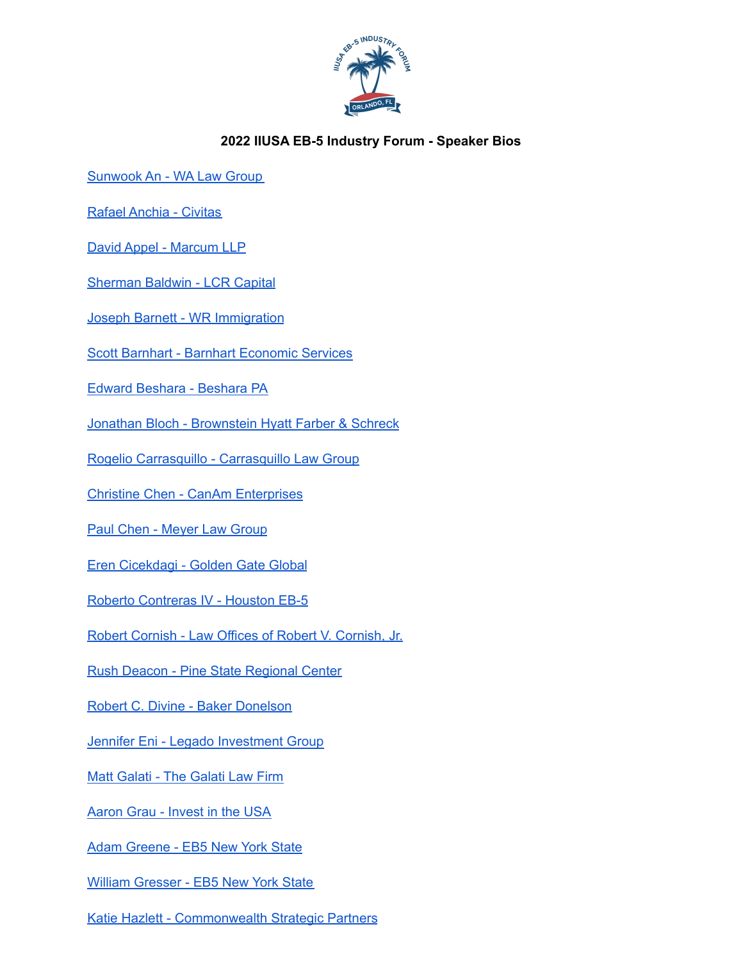

## **2022 IIUSA EB-5 Industry Forum - Speaker Bios**

[Sunwook](https://walawusa.com/attorneys/) An - WA Law Group

Rafael [Anchia](https://www.civitascapital.com/executive-team/rafael-anchia/) - Civitas

David Appel - [Marcum](https://www.marcumllp.com/people/david-appel) LLP

[Sherman](https://www.lcrcapital.com/lcr-team/sherman-baldwin/) Baldwin - LCR Capital

Joseph Barnett - WR [Immigration](https://wolfsdorf.com/team/joseph-barnett/)

Scott Barnhart - Barnhart [Economic](https://iiusa.org/wp-content/uploads/2022/03/Scott-Barnhart.pdf) Services

Edward [Beshara](https://besharapa.com/edward-beshara/) - Beshara PA

Jonathan Bloch - [Brownstein](https://www.bhfs.com/people/attorneys/a-b/jonathan-bloch) Hyatt Farber & Schreck

Rogelio Carrasquillo - [Carrasquillo](https://carrasquillolaw.com/member/rogelio-j-carrasquillo/) Law Group

Christine Chen - CanAm [Enterprises](https://www.canamenterprises.com/team-member/christine-chen/)

Paul Chen - [Meyer](https://meyerlawgroup.us/profile/paul-chen/) Law Group

Eren [Cicekdagi](https://www.3gfund.com/about-golden-gate-global/our-team/) - Golden Gate Global

Roberto [Contreras](https://houstoneb5.com/management-team/roberto-contreras-iv/) IV - Houston EB-5

Robert Cornish - Law Offices of Robert V. [Cornish,](https://www.linkedin.com/in/bob-cornish-462b254/) Jr.

Rush Deacon - Pine State [Regional](https://iiusa.org/wp-content/uploads/2021/10/Rush-Deacon-Bio.pdf) Center

Robert C. Divine - Baker [Donelson](https://www.bakerdonelson.com/robert-c-divine)

Jennifer Eni - Legado [Investment](https://iiusa.org/wp-content/uploads/2022/03/Eni_Jennifer.pdf) Group

Matt Galati - The [Galati](https://www.galati.law/our-team) Law Firm

[Aaron](https://iiusa.org/about/staff/aaron-grau/) Grau - Invest in the USA

Adam [Greene](https://eb5nys.com/our-team) - EB5 New York State

William [Gresser](https://eb5nys.com/our-team) - EB5 New York State

Katie Hazlett - [Commonwealth](https://commonwealthstrategic.com/who-we-are/washington-dc/katie-hazlett/) Strategic Partners